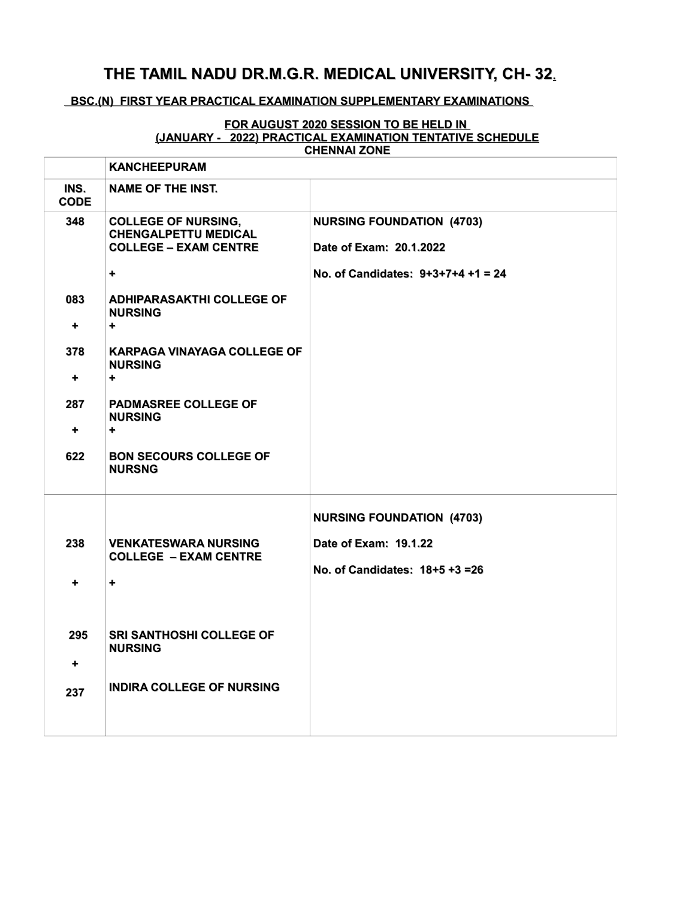## **THE TAMIL NADU DR.M.G.R. MEDICAL UNIVERSITY, CH- 32.**

## **BSC.(N) FIRST YEAR PRACTICAL EXAMINATION SUPPLEMENTARY EXAMINATIONS**

## **FOR AUGUST 2020 SESSION TO BE HELD IN (JANUARY - 2022) PRACTICAL EXAMINATION TENTATIVE SCHEDULE CHENNAI ZONE**

|                             | <b>KANCHEEPURAM</b>                                                                       |                                                             |
|-----------------------------|-------------------------------------------------------------------------------------------|-------------------------------------------------------------|
| INS.<br><b>CODE</b>         | <b>NAME OF THE INST.</b>                                                                  |                                                             |
| 348                         | <b>COLLEGE OF NURSING,</b><br><b>CHENGALPETTU MEDICAL</b><br><b>COLLEGE - EXAM CENTRE</b> | <b>NURSING FOUNDATION (4703)</b><br>Date of Exam: 20.1.2022 |
|                             | ٠                                                                                         | No. of Candidates: 9+3+7+4 +1 = 24                          |
| 083<br>$\ddot{\phantom{1}}$ | <b>ADHIPARASAKTHI COLLEGE OF</b><br><b>NURSING</b><br>$\ddot{\phantom{1}}$                |                                                             |
| 378<br>٠                    | <b>KARPAGA VINAYAGA COLLEGE OF</b><br><b>NURSING</b><br>$\ddot{\phantom{0}}$              |                                                             |
| 287<br>$\ddot{\phantom{1}}$ | <b>PADMASREE COLLEGE OF</b><br><b>NURSING</b><br>$\ddot{\phantom{0}}$                     |                                                             |
| 622                         | <b>BON SECOURS COLLEGE OF</b><br><b>NURSNG</b>                                            |                                                             |
|                             |                                                                                           | <b>NURSING FOUNDATION (4703)</b>                            |
| 238                         | <b>VENKATESWARA NURSING</b>                                                               | Date of Exam: 19.1.22                                       |
| $\ddot{}$                   | <b>COLLEGE - EXAM CENTRE</b><br>٠                                                         | No. of Candidates: 18+5 +3 =26                              |
|                             |                                                                                           |                                                             |
| 295                         | <b>SRI SANTHOSHI COLLEGE OF</b><br><b>NURSING</b>                                         |                                                             |
| ٠                           | <b>INDIRA COLLEGE OF NURSING</b>                                                          |                                                             |
| 237                         |                                                                                           |                                                             |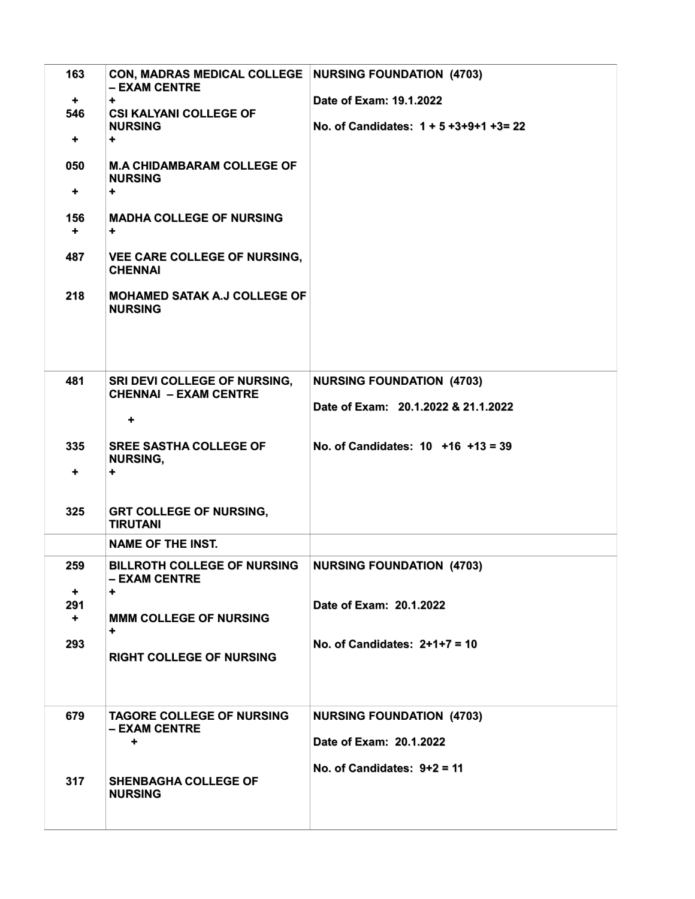| 163<br>+<br>546<br>٠<br>050<br>٠<br>156<br>÷.<br>487<br>218 | CON, MADRAS MEDICAL COLLEGE   NURSING FOUNDATION (4703)<br>- EXAM CENTRE<br>٠<br><b>CSI KALYANI COLLEGE OF</b><br><b>NURSING</b><br>٠<br><b>M.A CHIDAMBARAM COLLEGE OF</b><br><b>NURSING</b><br>$\ddot{}$<br><b>MADHA COLLEGE OF NURSING</b><br>٠<br><b>VEE CARE COLLEGE OF NURSING,</b><br><b>CHENNAI</b><br><b>MOHAMED SATAK A.J COLLEGE OF</b><br><b>NURSING</b> | Date of Exam: 19.1.2022<br>No. of Candidates: 1 + 5 +3+9+1 +3= 22                            |
|-------------------------------------------------------------|---------------------------------------------------------------------------------------------------------------------------------------------------------------------------------------------------------------------------------------------------------------------------------------------------------------------------------------------------------------------|----------------------------------------------------------------------------------------------|
| 481                                                         | SRI DEVI COLLEGE OF NURSING,<br><b>CHENNAI - EXAM CENTRE</b><br>٠                                                                                                                                                                                                                                                                                                   | <b>NURSING FOUNDATION (4703)</b><br>Date of Exam: 20.1.2022 & 21.1.2022                      |
| 335<br>٠                                                    | <b>SREE SASTHA COLLEGE OF</b><br><b>NURSING,</b><br>٠                                                                                                                                                                                                                                                                                                               | No. of Candidates: $10 + 16 + 13 = 39$                                                       |
| 325                                                         | <b>GRT COLLEGE OF NURSING,</b><br><b>TIRUTANI</b>                                                                                                                                                                                                                                                                                                                   |                                                                                              |
|                                                             | <b>NAME OF THE INST.</b>                                                                                                                                                                                                                                                                                                                                            |                                                                                              |
| 259<br>٠.                                                   | <b>BILLROTH COLLEGE OF NURSING</b><br>- EXAM CENTRE<br>÷                                                                                                                                                                                                                                                                                                            | <b>NURSING FOUNDATION (4703)</b>                                                             |
| 291<br>$\ddot{\phantom{1}}$                                 | <b>MMM COLLEGE OF NURSING</b><br>٠                                                                                                                                                                                                                                                                                                                                  | Date of Exam: 20.1.2022                                                                      |
| 293                                                         | <b>RIGHT COLLEGE OF NURSING</b>                                                                                                                                                                                                                                                                                                                                     | No. of Candidates: $2+1+7=10$                                                                |
| 679                                                         | <b>TAGORE COLLEGE OF NURSING</b><br>– EXAM CENTRE<br>۰                                                                                                                                                                                                                                                                                                              | <b>NURSING FOUNDATION (4703)</b><br>Date of Exam: 20.1.2022<br>No. of Candidates: $9+2 = 11$ |
| 317                                                         | <b>SHENBAGHA COLLEGE OF</b><br><b>NURSING</b>                                                                                                                                                                                                                                                                                                                       |                                                                                              |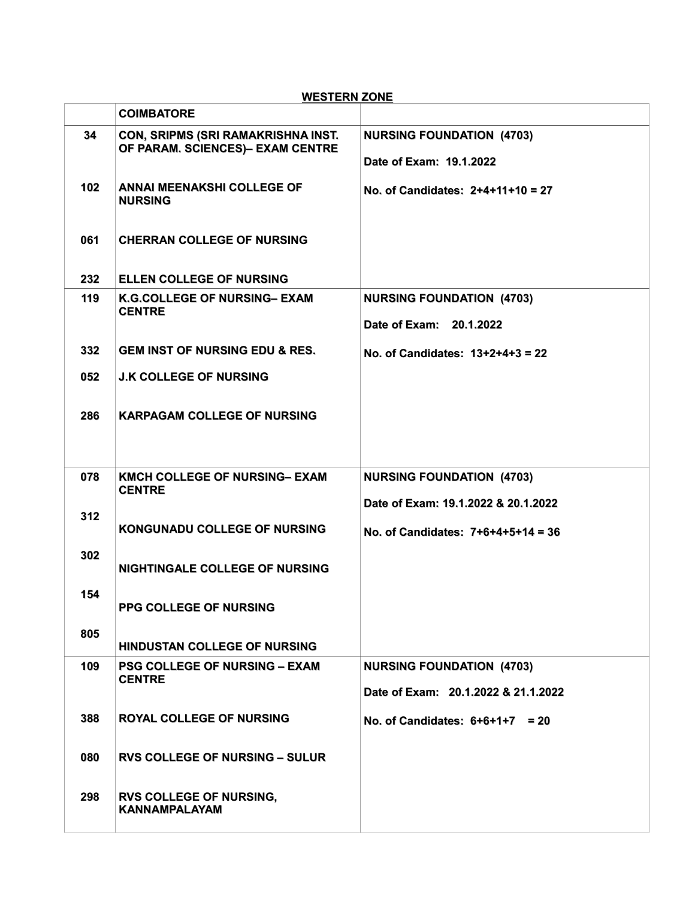| <b>WESTERN ZONE</b> |                                                                               |                                                                         |
|---------------------|-------------------------------------------------------------------------------|-------------------------------------------------------------------------|
|                     | <b>COIMBATORE</b>                                                             |                                                                         |
| 34                  | <b>CON, SRIPMS (SRI RAMAKRISHNA INST.</b><br>OF PARAM. SCIENCES)- EXAM CENTRE | <b>NURSING FOUNDATION (4703)</b><br>Date of Exam: 19.1.2022             |
| 102                 | <b>ANNAI MEENAKSHI COLLEGE OF</b><br><b>NURSING</b>                           | No. of Candidates: $2+4+11+10 = 27$                                     |
| 061                 | <b>CHERRAN COLLEGE OF NURSING</b>                                             |                                                                         |
| 232                 | <b>ELLEN COLLEGE OF NURSING</b>                                               |                                                                         |
| 119                 | <b>K.G.COLLEGE OF NURSING- EXAM</b><br><b>CENTRE</b>                          | <b>NURSING FOUNDATION (4703)</b><br>Date of Exam: 20.1.2022             |
| 332                 | <b>GEM INST OF NURSING EDU &amp; RES.</b>                                     | No. of Candidates: 13+2+4+3 = 22                                        |
| 052                 | <b>J.K COLLEGE OF NURSING</b>                                                 |                                                                         |
| 286                 | <b>KARPAGAM COLLEGE OF NURSING</b>                                            |                                                                         |
|                     |                                                                               |                                                                         |
| 078                 | <b>KMCH COLLEGE OF NURSING- EXAM</b><br><b>CENTRE</b>                         | <b>NURSING FOUNDATION (4703)</b><br>Date of Exam: 19.1.2022 & 20.1.2022 |
| 312                 | <b>KONGUNADU COLLEGE OF NURSING</b>                                           | No. of Candidates: 7+6+4+5+14 = 36                                      |
| 302                 | NIGHTINGALE COLLEGE OF NURSING                                                |                                                                         |
| 154                 | PPG COLLEGE OF NURSING                                                        |                                                                         |
| 805                 | HINDUSTAN COLLEGE OF NURSING                                                  |                                                                         |
| 109                 | <b>PSG COLLEGE OF NURSING - EXAM</b><br><b>CENTRE</b>                         | <b>NURSING FOUNDATION (4703)</b>                                        |
|                     |                                                                               | Date of Exam: 20.1.2022 & 21.1.2022                                     |
| 388                 | <b>ROYAL COLLEGE OF NURSING</b>                                               | No. of Candidates: $6+6+1+7 = 20$                                       |
| 080                 | <b>RVS COLLEGE OF NURSING - SULUR</b>                                         |                                                                         |
| 298                 | <b>RVS COLLEGE OF NURSING,</b><br><b>KANNAMPALAYAM</b>                        |                                                                         |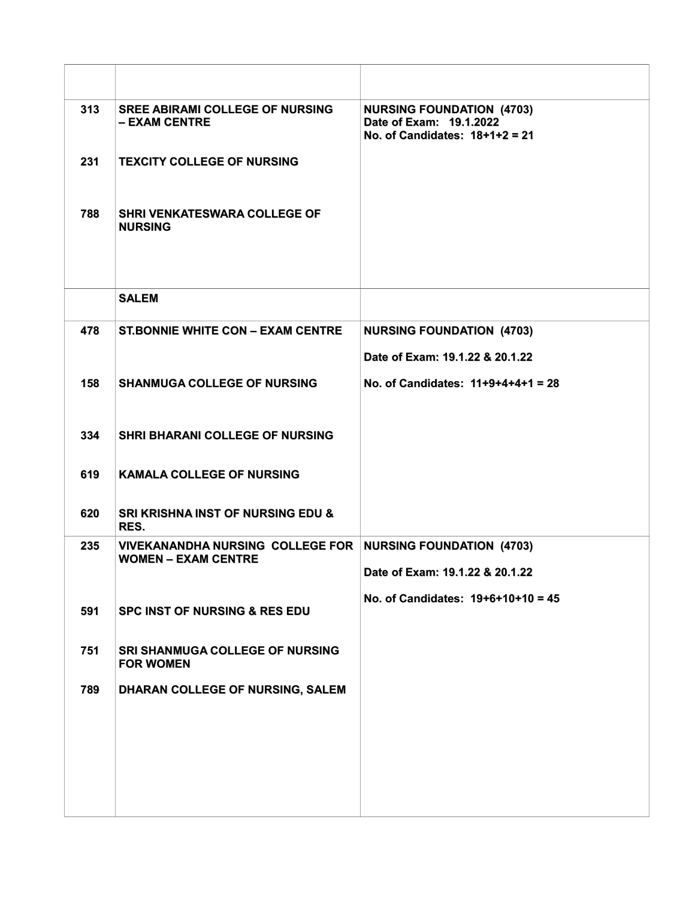| 313 | <b>SREE ABIRAMI COLLEGE OF NURSING</b><br>- EXAM CENTRE               | <b>NURSING FOUNDATION (4703)</b><br>Date of Exam: 19.1.2022<br>No. of Candidates: $18+1+2=21$ |
|-----|-----------------------------------------------------------------------|-----------------------------------------------------------------------------------------------|
| 231 | <b>TEXCITY COLLEGE OF NURSING</b>                                     |                                                                                               |
| 788 | SHRI VENKATESWARA COLLEGE OF<br><b>NURSING</b>                        |                                                                                               |
|     |                                                                       |                                                                                               |
|     | <b>SALEM</b>                                                          |                                                                                               |
| 478 | <b>ST.BONNIE WHITE CON - EXAM CENTRE</b>                              | <b>NURSING FOUNDATION (4703)</b>                                                              |
|     |                                                                       | Date of Exam: 19.1.22 & 20.1.22                                                               |
| 158 | <b>SHANMUGA COLLEGE OF NURSING</b>                                    | No. of Candidates: $11+9+4+4+1 = 28$                                                          |
| 334 | <b>SHRI BHARANI COLLEGE OF NURSING</b>                                |                                                                                               |
| 619 | <b>KAMALA COLLEGE OF NURSING</b>                                      |                                                                                               |
| 620 | <b>SRI KRISHNA INST OF NURSING EDU &amp;</b><br>RES.                  |                                                                                               |
| 235 | <b>VIVEKANANDHA NURSING COLLEGE FOR</b><br><b>WOMEN – EXAM CENTRE</b> | <b>NURSING FOUNDATION (4703)</b><br>Date of Exam: 19.1.22 & 20.1.22                           |
|     |                                                                       | No. of Candidates: $19+6+10+10 = 45$                                                          |
| 591 | <b>SPC INST OF NURSING &amp; RES EDU</b>                              |                                                                                               |
| 751 | <b>SRI SHANMUGA COLLEGE OF NURSING</b><br><b>FOR WOMEN</b>            |                                                                                               |
| 789 | DHARAN COLLEGE OF NURSING, SALEM                                      |                                                                                               |
|     |                                                                       |                                                                                               |
|     |                                                                       |                                                                                               |
|     |                                                                       |                                                                                               |
|     |                                                                       |                                                                                               |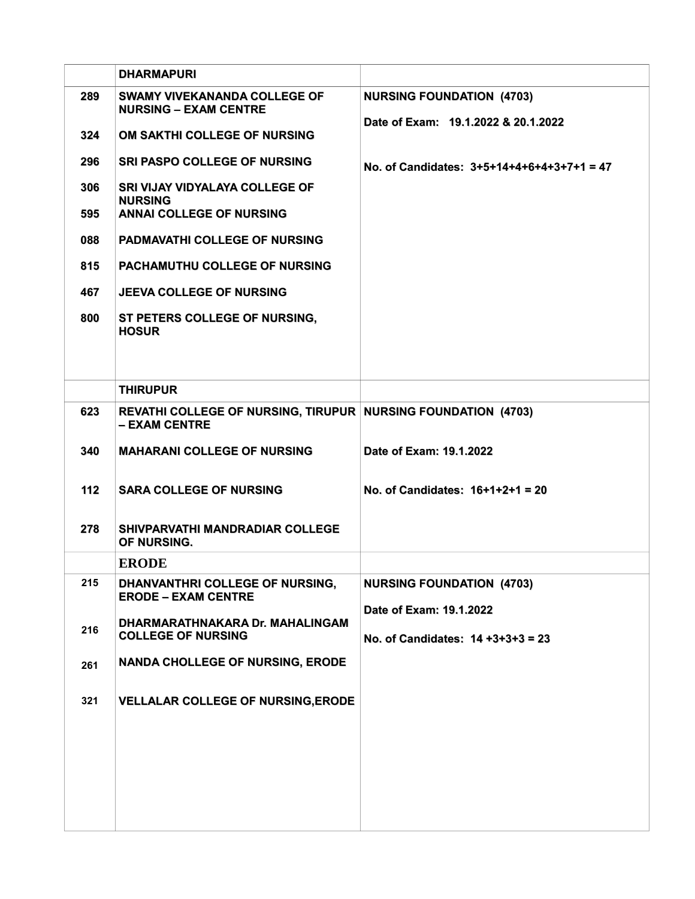|     | <b>DHARMAPURI</b>                                                                     |                                                                     |
|-----|---------------------------------------------------------------------------------------|---------------------------------------------------------------------|
| 289 | <b>SWAMY VIVEKANANDA COLLEGE OF</b><br><b>NURSING - EXAM CENTRE</b>                   | <b>NURSING FOUNDATION (4703)</b>                                    |
| 324 | OM SAKTHI COLLEGE OF NURSING                                                          | Date of Exam: 19.1.2022 & 20.1.2022                                 |
| 296 | <b>SRI PASPO COLLEGE OF NURSING</b>                                                   | No. of Candidates: 3+5+14+4+6+4+3+7+1 = 47                          |
| 306 | <b>SRI VIJAY VIDYALAYA COLLEGE OF</b><br><b>NURSING</b>                               |                                                                     |
| 595 | <b>ANNAI COLLEGE OF NURSING</b>                                                       |                                                                     |
| 088 | <b>PADMAVATHI COLLEGE OF NURSING</b>                                                  |                                                                     |
| 815 | <b>PACHAMUTHU COLLEGE OF NURSING</b>                                                  |                                                                     |
| 467 | <b>JEEVA COLLEGE OF NURSING</b>                                                       |                                                                     |
| 800 | ST PETERS COLLEGE OF NURSING,<br><b>HOSUR</b>                                         |                                                                     |
|     | <b>THIRUPUR</b>                                                                       |                                                                     |
| 623 | <b>REVATHI COLLEGE OF NURSING, TIRUPUR NURSING FOUNDATION (4703)</b><br>- EXAM CENTRE |                                                                     |
| 340 | <b>MAHARANI COLLEGE OF NURSING</b>                                                    | Date of Exam: 19.1.2022                                             |
| 112 | <b>SARA COLLEGE OF NURSING</b>                                                        | No. of Candidates: $16+1+2+1 = 20$                                  |
| 278 | SHIVPARVATHI MANDRADIAR COLLEGE<br>OF NURSING.                                        |                                                                     |
|     | <b>ERODE</b>                                                                          |                                                                     |
| 215 | DHANVANTHRI COLLEGE OF NURSING,<br><b>ERODE - EXAM CENTRE</b>                         | <b>NURSING FOUNDATION (4703)</b>                                    |
| 216 | DHARMARATHNAKARA Dr. MAHALINGAM<br><b>COLLEGE OF NURSING</b>                          | Date of Exam: 19.1.2022<br>No. of Candidates: $14 + 3 + 3 + 3 = 23$ |
| 261 | <b>NANDA CHOLLEGE OF NURSING, ERODE</b>                                               |                                                                     |
| 321 | <b>VELLALAR COLLEGE OF NURSING, ERODE</b>                                             |                                                                     |
|     |                                                                                       |                                                                     |